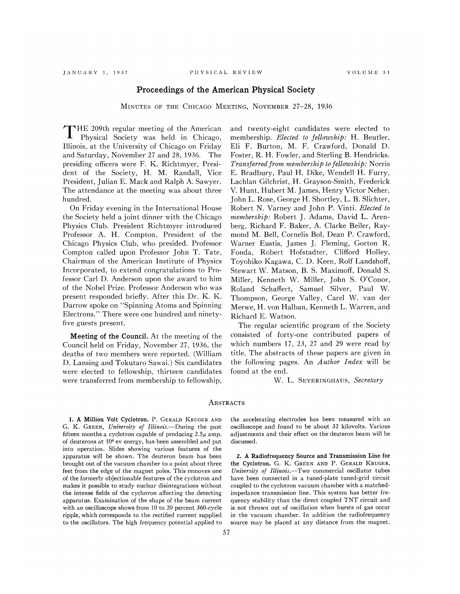## Proceedings of the American Physical Society

MINUTES OF THE CHICAGO MEETING, NOVEMBER 27-28, 1936

HE 209th regular meeting of the American Physical Society was held in Chicago, Illinois, at the University of Chicago on Friday and Saturday, November 27 and 28, 1936. The presiding officers were F. K. Richtmyer, President of the Society, H. M. Randall, Vice President, Julian E. Mack and Ralph A. Sawyer. The attendance at the meeting was about three hundred.

On Friday evening in the International House the Society held a joint dinner with the Chicago Physics Club. President Richtmyer introduced Professor A. H. Compton, President of the Chicago Physics Club, who presided. Professor Compton called upon Professor John T. Tate, Chairman of the American Institute of Physics Incorporated, to extend congratulations to Professor Carl D. Anderson upon the award to him of the Nobel Prize, Professor Anderson who was present responded briefly. After this Dr. K. K. Darrow spoke on "Spinning Atoms and Spinning Electrons. " There were one hundred and ninetyfive guests present.

Meeting of the Council. At the meeting of the Council held on Friday, November 27, 1936, the deaths of two members were reported. (William D. Lansing and Tokutaro Sawai. ) Six candidates were elected to fellowship, thirteen candidates were transferred from membership to fellowship,

and twenty-eight candidates were elected to membership. Elected to fellowship: H. Beutler, Eli F. Burton, M. F. Crawford, Donald D. Foster, R. H. Fowler, and Sterling B. Hendricks. Transferred from membership to fellowship: Norris E. Bradbury, Paul H. Dike, Wendell H. Furry, Lachlan Gilchrist, H. Grayson-Smith, Frederick V. Hunt, Hubert M. James, Henry Victor Neher, John L. Rose, George H. Shortley, L. B.Slichter, Robert N. Varney and John P. Vinti. Elected to membership: Robert J. Adams, David L. Arenberg, Richard F. Baker, A. Clarke Beiler, Raymond M. Bell, Cornelis Bol, Dean P. Crawford, Warner Eustis, James J. Fleming, Gorton R. Fonda, Robert Hofstadter, Clifford Holley, Toyohiko Kagawa, C. D. Keen, Rolf Landshoff, Stewart W. Matson, B. S. Maximoff, Donald S. Miller, Kenneth W. Miller, John S. O'Conor, Roland Schaffert, Samuel Silver, Paul W. Thompson, George Valley, Carel W. van der Merwe, H. von Halban, Kenneth L. Warren, and Richard E. Watson.

The regular scientific program of the Society consisted of forty-one contributed papers of which numbers 17, 23, 27 and 29 were read by title. The abstracts of these papers are given in the following pages. An Author Index will be found at the end.

W. L. SEVERINGHAUS, Secretary

## **ABSTRACTS**

1. A Million Volt Cyclotron. P. GERALD KRUGER AND G. K. GREEN, University of Illinois.-- During the past fifteen months a cyclotron capable of producing  $2.5\mu$  amp. of deuterons at 10' ev energy, has been assembled and put into operation. Slides showing various features of the apparatus will be shown. The deuteron beam has been brought out of the vacuum chamber to a point about three feet from the edge of the magnet poles. This removes one of' the formerly objectionable features of the cyclotron and makes it possible to study nuclear disintegrations without the intense fields of the cyclotron affecting the detecting apparatus. Examination of the shape of the beam current with an oscilloscope shows from 10 to 20 percent 360-cycle ripple, which corresponds to the rectified current supplied to the oscillators. The high frequency potential applied to

the accelerating electrodes has been measured with an oscilloscope and found to be about 32 kilovolts. Various adjustments and their effect on the deuteron beam will be discussed.

2. A Radiofrequency Source and Transmission Line for the Cyclotron. G, K. GREEN AND P. GERALD KRUGER, University of Illinois.-Two commercial oscillator tubes have been connected in a tuned-plate tuned-grid circuit coupled to the cyclotron vacuum chamber with a matchedimpedance transmission line. This system has better frequency stability than the direct coupled TNT circuit and is not thrown out of oscillation when bursts of gas occur in the vacuum chamber. In addition the radiofrequency source may be placed at any distance from the magnet,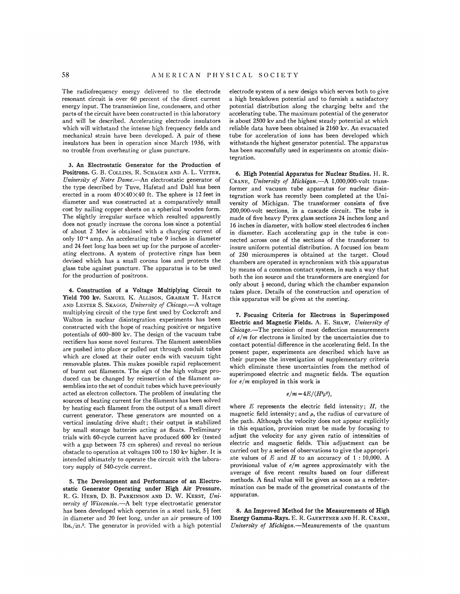The radiofrequency energy delivered to the electrode resonant circuit is over 60 percent of the direct current energy input. The transmission line, condensers, and other parts of the circuit have been constructed in this laboratory and will be described. Accelerating electrode insulators which will withstand the intense high frequency fields and mechanical strain have been developed. A pair of these insulators has been in operation since March 1936, with no trouble from overheating or glass puncture.

3. An Electrostatic Generator for the Production of Positrons. G. B. COLLINS, R. SCHAGER AND A. L. VITTER, University of Notre Dame.—An electrostatic generator of the type described by Tuve, Hafstad and Dahl has been erected in a room  $40\times40\times40$  ft. The sphere is 12 feet in diameter and was constructed at a comparatively small cost by nailing copper sheets on a spherical wooden form. The slightly irregular surface which resulted apparently does not greatly increase the corona loss since a potential of about 2 Mev is obtained with a charging current of only 10<sup>-4</sup> amp. An accelerating tube 9 inches in diameter and 24 feet long has been set up for the purpose of accelerating electrons. A system of protective rings has been devised which has a small corona loss and protects the glass tube against puncture. The apparatus is to be used for the production of positrons.

4. Construction of a Voltage Multiplying Circuit to Yield 700 kv. SAMUEL K. ALLISON, GRAHAM T. HATCH AND LESTER S. SKAGGS, University of Chicago. - A voltage multiplying circuit of the type first used by Cockcroft and Walton in nuclear disintegration experiments has been constructed with the hope of reaching positive or negative potentials of 600—800 kv. The design of the vacuum tube rectifiers has some novel features. The filament assemblies are pushed into place or pulled out through conduit tubes which are closed at their outer ends with vacuum tight removable plates. This makes possible rapid replacement of burnt out filaments. The sign of the high voltage produced can be changed by reinsertion of the filament assemblies into the set of conduit tubes which have previously acted as electron collectors. The problem of insulating the sources of heating current for the filaments has been solved by heating each filament from the output of a small direct current generator. These generators are mounted on a vertical insulating drive shaft; their output is stabilized by small storage batteries acting as floats. Preliminary trials with 60-cycle current have produced 600 kv (tested with a gap between 75 cm spheres) and reveal no serious obstacle to operation at voltages 100 to 150 kv higher. It is intended ultimately to operate the circuit with the laboratory supply of 540-cycle current.

5. The Development and Performance of an Electrostatic Generator Operating under High Air Pressure. R. G. HERB, D. B. PARKINSON AND D. W. KERST, University of Wisconsin.  $-A$  belt type electrostatic generator has been developed which operates in a steel tank,  $5\frac{1}{2}$  feet in diameter and 20 feet long, under an air pressure of 100 lbs./in.<sup>2</sup>. The generator is provided with a high potential

electrode system of a new design which serves both to give a high breakdown potential and to furnish a satisfactory potential distribution along the charging belts and the accelerating tube. The maximum potential of the generator is about 2500 kv and the highest steady potential at which reliable data have been obtained is 2160 kv. An evacuated tube for acceleration of ions has been developed which withstands the highest generator potential. The apparatus has been successfully used in experiments on atomic disintegration.

6. High Potential Apparatus for Nuclear Studies. H. R. CRANE, University of Michigan. —<sup>A</sup> 1,000,000-volt transformer and vacuum tube apparatus for nuclear disintegration work has recently been completed at the University of Michigan. The transformer consists of five 200,000-volt sections, in a cascade circuit. The tube is made of five heavy Pyrex glass sections 24 inches long and 16 inches in diameter, with hollow steel electrodes 6 inches in diameter. Each accelerating gap in the tube is connected across one of the sections of the transformer to insure uniform potential distribution. A focused ion beam of 250 microamperes is obtained at the target. Cloud chambers are operated in synchronism with this apparatus by means of a common contact system, in such a way that both the ion source and the transformers are energized for 'only about  $\frac{1}{2}$  second, during which the chamber expansio takes place. Details of the construction and operation of this apparatus will be given at the meeting.

7. Focusing Criteria for Electrons in Superimposed Electric and Magnetic Fields. A. E. SHAw, University of Chicago.—The precision of most defiection measurements of  $e/m$  for electrons is limited by the uncertainties due to contact potential difference in the accelerating field. In the present paper, experiments are described which have as their purpose the investigation of supplementary criteria which eliminate these uncertainties from the method of superimposed electric and magnetic fields. The equation for  $e/m$  employed in this work is

$$
e/m = 4E/(H^2\varphi^2),
$$

where  $E$  represents the electric field intensity;  $H$ , the magnetic field intensity; and  $\rho$ , the radius of curvature of the path. Although the velocity does not appear explicitly in this equation, provision must be made by focusing to adjust the velocity for any given ratio of intensities of electric and magnetic fields. This adjustment can be carried out by a series of observations to give the appropriate values of  $E$  and  $H$  to an accuracy of 1:10,000. A provisional value of  $e/m$  agrees approximately with the average of five recent results based on four different methods. A final value will be given as soon as a redetermination can be made of the geometrical constants of the apparatus.

8. An Improved Method for the Measurements of High Energy Gamma-Rays. E.R. GAERTTNER AND H. R. CRANE, University of Michigan.—Measurements of the quantum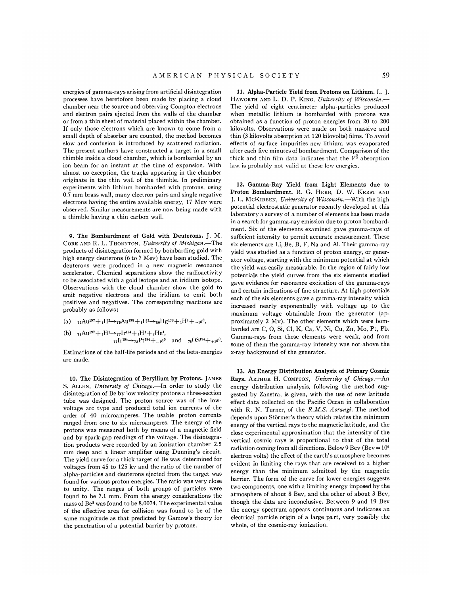energies of gamma-rays arising from artificial disintegration processes have heretofore been made by placing a cloud chamber near the source and observing Compton electrons and electron pairs ejected from the walls of the chamber or from a thin sheet of material placed within the chamber. If only those electrons which are known to come from a small depth of absorber are counted, the method becomes slow and confusion is introduced by scattered radiation. The present authors have constructed a target in a small thimble inside a cloud chamber, which is bombarded by an ion beam for an instant at the time of expansion. With almost no exception, the tracks appearing in the chamber originate in the thin wall of the thimble. In preliminary experiments with lithium bombarded with protons, using 0.7 mm brass wall, many electron pairs and single negative electrons having the entire available energy, 17 Mev were observed. Similar measurements are now being made with a thimble having a thin carbon wall.

9. The Bombardment of Gold with Deuterons. J. M. CORK AND R. L. THORNTON, University of Michigan. - The products of disintegration formed by bombarding gold with high energy deuterons (6 to 7 Mev) have been studied. The deuterons were produced in .a new magnetic resonance accelerator. Chemical separations show the radioactivity to be associated with a gold isotope and an iridium isotope. Observations with the cloud chamber show the gold to emit negative electrons and the iridium to emit both positives and negatives. The corresponding reactions are probably as follows:

- (a)  $_{79}Au^{197} + {}_1H^2 \rightarrow {}_{79}Au^{198} + {}_1H^1 \rightarrow {}_{80}Hg^{198} + {}_1H^1 + {}_{-1}e^0$ ,
- (b)  $79Au^{197} + {}_1H^2 \rightarrow 77Ir^{194} + {}_1H^1 + {}_2He^4$ ,  $_{77}Ir^{194} \rightarrow_{78}Pt^{194} + _{-1}e^0$  and  $_{76}OS^{194} + _{+1}e^0$ .

Estimations of the half-life periods and of the beta-energies are made.

10. The Disintegration of Beryllium by Protons. JAMEs S. ALLEN, University of Chicago.—In order to study the disintegration of Be by low velocity protons a three-section tube was designed. The proton source was of the lowvoltage arc type and produced total ion currents of the order of 40 microamperes. The usable proton currents ranged from one to six microamperes. The energy of the protons was measured both by means of a magnetic field and by spark-gap readings of the voltage. The disintegration products were recorded by an ionization chamber 2.5 mm deep and a linear amplifier using Dunning's circuit. The yield curve for a thick target of Be was determined for voltages from 45 to 125 kv and the ratio of the number of alpha-particles and deuterons ejected from the target was found for various proton energies. The ratio was very close to unity. The ranges of both groups of particles were found to be 7.1 mm. From the energy considerations the mass of Be' was found to be 8.0074. The experimental value of the effective area for collision was found to be of the same magnitude as that predicted by Gamow's theory for the penetration of a potential barrier by protons.

11. Alpha-Particle Yield from Protons on Lithium. I, J. HAWORTH AND L. D. P. KING, University of Wisconsin. The yield of eight centimeter alpha-particles produced when metallic lithium is bombarded with protons was obtained as a function of proton energies from 20 to 200 kilovolts. Observations were made on both massive and thin (3 kilovolts absorption at 120 kilovolts) films. To avoid effects of surface impurities new lithium was evaporated after each five minutes of bombardment. Comparison of the thick and thin film data indicates that the  $V^{\frac{3}{2}}$  absorption law is probably not valid at these low energies.

12. Gamma-Ray Yield from Light Elements due to Proton Bombardment. R. G. HERB, D. W. KERST AND J. L. McKIBBEN, University of Wisconsin. - With the high potential electrostatic generator recently developed at this laboratory a survey of a number of elements has been made in a search for gamma-ray emission due to proton bombardment. Six of the elements examined gave gamma-rays of sufficient intensity to permit accurate measurement. These six elements are Li, Be, B, F, Na and Al. Their gamma-ray yield was studied as a function of proton energy, or generator voltage, starting with the minimum potential at which the yield was easily measurable. In the region of fairly low potentials the yield curves from the six elements studied gave evidence for resonance excitation of the gamma-rays and certain indications of fine structure. At high potentials each of the six elements gave a gamma-ray intensity which increased nearly exponentially with voltage up to the maximum voltage obtainable from the generator (approximately 2 Mv). The other elements which were bombarded are C, O, Si, Cl, K, Ca, V, Ni, Cu, Zn, Mo, Pt, Pb. Gamma-rays from these elements were weak, and from some of them the gamma-ray intensity was not above the x-ray background of the generator.

13. An Energy Distribution Analysis of Primary Cosmic Rays. ARTHUR H. CoMPToN, University of Chicago.—An energy distribution analysis, following the method suggested by Zanstra, is given, with the use of new latitude effect data collected on the Pacific Ocean in collaboration with R. N. Turner, of the R.M.S. Aorangi. The method depends upon Stormer's theory which relates the minimum energy of the vertical rays to the magnetic latitude, and the close experimental approximation that the intensity of the vertical cosmic rays is proportional to that of the total radiation coming from all directions. Below 9 Bev (Bev =  $10<sup>9</sup>$ electron volts) the effect of the earth's atmosphere becomes evident in limiting the rays that are received to a higher energy than the minimum admitted by the magnetic barrier. The form of the curve for lower energies suggests two components, one with a limiting energy imposed by the atmosphere of about 8 Bev, and the other of about 3 Bev, though the data are inconclusive. Between 9 and 19 Bev the energy spectrum appears continuous and indicates an electrical particle origin of a large part, very possibly the whole, of the cosmic-ray ionization.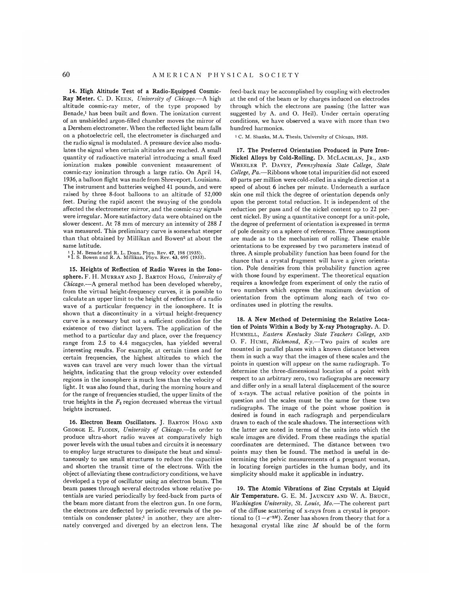14. High Altitude Test of a Radio-Equipped Cosmic-Ray Meter. C. D. KEEN, University of Chicago.-- A high altitude cosmic-ray meter, of the type proposed by Benade,<sup>1</sup> has been built and flown. The ionization current of an unshielded argon-filled chamber moves the mirror of a Dershem electrometer. When the reflected light beam falls on a photoelectric cell, the electrometer is discharged and the radio signal is modulated. A pressure device also modulates the signal when certain altitudes are reached. A small quantity of radioactive material introducing a small fixed ionization makes possible convenient measurement of cosmic-ray ionization through a large ratio. On April 14, 1936, a balloon flight was made from Shreveport, Louisiana. The instrument and batteries weighed 41 pounds, and were raised by three 8-foot balloons to an altitude of 52,000 feet. During the rapid ascent the swaying of the gondola affected the electrometer mirror, and the cosmic-ray signals were irregular. More satisfactory data were obtained on the slower descent. At <sup>78</sup> mm of mercury an intensity of <sup>288</sup> I was measured. This preliminary curve is somewhat steeper than that obtained by Millikan and Bowen' at about the same latitude.

<sup>1</sup> J. M. Benade and R. L. Doan, Phys. Rev. 47, 198 (1935).<br><sup>2</sup> I. S. Bowen and R. A. Millikan, Phys. Rev. 43, 695 (1933).

15. Heights of Reflection of Radio Waves in the Ionosphere. F. H. MURRAY AND J. BARTON HOAG, University of Chicago.—<sup>A</sup> general method has been developed whereby, from the virtual height-frequency curves, it is possible to calculate an upper limit to the height of reflection of a radio wave of a particular frequency in the ionosphere. It is shown that a discontinuity in a virtual height-frequency curve is a necessary but not a sufhcient condition for the existence of two distinct layers. The application of the method to a particular day and place, over the frequency range from 2.5 to 4.4 megacycles, has yielded several interesting results. For example, at certain times and for certain frequencies, the highest altitudes to which the waves can travel are very much lower than the virtual heights, indicating that the group velocity over extended regions in the ionosphere is much less than the velocity of light. It was also found that, during the morning hours and for the range of frequencies studied, the upper limits of the true heights in the  $F_2$  region decreased whereas the virtual heights increased.

16. Electron Beam Oscillators. J. BARTON HOAG AND GEORGE E. FLODIN, University of Chicago.-In order to produce ultra-short radio waves at comparatively high power levels with the usual tubes and circuits it is necessary to employ large structures to dissipate the heat and simultaneously to use small structures to reduce the capacities and shorten the transit time of the electrons. With the object of alleviating these contradictory conditions, we have developed a type of oscillator using an electron beam. The beam passes through several electrodes whose relative potentials are varied periodically by feed-back from parts of the beam more distant from the electron gun. In one form, the electrons are deflected by periodic reversals of the potentials on condenser plates;<sup>1</sup> in another, they are alternately converged and diverged by an electron lens. The feed-back may be accomplished by coupling with electrodes at the end of the beam or by charges induced on electrodes through which the electrons are passing (the latter was suggested by A. and O. Heil). Under certain operating conditions, we have observed a wave with more than two hundred harmonics.

<sup>1</sup> C. M. Shanks, M.A. Thesis, University of Chicago, 1935.

17. The Preferred Orientation Produced in Pure Iron-Nickel A11oys by Cold-Rolling. D, MCLAcHLAN, JR., AND WHEELER P. DAVEY, Pennsylvania State College, State College, Pa.—Ribbons whose total impurities did not exceed 40 parts per million were cold-rolled in a single direction at a speed of about 6 inches per minute. Underneath a surface skin one mil thick the degree of orientation depends only upon the percent total reduction. It is independent of the reduction per pass and of the nickel content up to 22 percent nickel. By using a quantitative concept for a unit-pole, the degree of preferment of orientation is expressed in terms of pole density on a sphere of reference, Three assumptions are made as to the mechanism of rolling. These enable orientations to be expressed by two parameters instead of three. A simple probability function has been found for the chance that a crystal fragment will have a given orientation. Pole densities from this probability function agree with those found by experiment. The theoretical equation requires a knowledge from experiment of only the ratio of two numbers which express the maximum deviation of orientation from the optimum along each of two coordinates used in plotting the results.

18. A New Method of Determining the Relative Location of Points Within a Body by X-ray Photography. A. D. HUMMELL, Eastern Kentucky State Teachers College, AND O. F. HUME, Richmond, Ky.-Two pairs of scales are mounted in parallel planes with a known distance between them in such a way that the images of these scales and the points in question will appear on the same radiograph. To determine the three-dimensional location of a point with respect to an arbitrary zero, two radiographs are necessary and differ only in a small lateral displacement of the source of x-rays. The actual relative position of the points in question and the scales must be the same for these two radiographs. The image of the point whose position is desired is found in each radiograph and perpendiculars drawn to each of the scale shadows. The intersections with the latter are noted in terms of the units into which the scale images are divided. From these readings the spatial coordinates are determined. The distance between two points may then be found. The method is useful in determining the pelvic measurements of a pregnant woman, in locating foreign 'particles in the human body, and its simplicity should make it applicable in industry.

19. The Atomic Vibrations of Zinc Crystals at Liquid Air Temperature. G. E. M. JAUNcEY AND W. A. BRUcE, Washington University, St. Louis, Mo.—The coherent part of the diffuse scattering of x-rays from a crystal is proporthe dimensional to  $(1-e^{-2M})$ . Zener has shown from theory that for a hexagonal crystal like zinc  $M$  should be of the form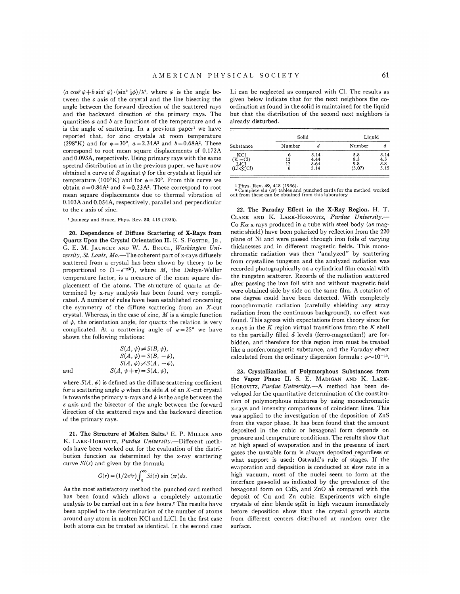$(a \cos^2 \psi + b \sin^2 \psi) \cdot (\sin^2 \frac{1}{2}\phi)/\lambda^2$ , where  $\psi$  is the angle between the  $c$  axis of the crystal and the line bisecting the angle between the forward direction of the scattered rays and the backward direction of the primary rays. The quantities a and b are functions of the temperature and  $\phi$ is the angle of scattering. In a previous paper' we have reported that, for zinc crystals at room temperature (298°K) and for  $\phi = 30^{\circ}$ ,  $a = 2.34$ A<sup>2</sup> and  $b = 0.68$ A<sup>2</sup>. These correspond to root mean square displacements of 0.172A and 0.093A, respectively. Using primary rays with the same spectral distribution as in the previous paper, we have now obtained a curve of S against  $\psi$  for the crystals at liquid air temperature (100°K) and for  $\phi = 30^\circ$ . From this curve we obtain  $a = 0.84A^2$  and  $b = 0.23A^2$ . These correspond to root mean square displacements due to thermal vibration of 0.103A and 0.054A, respectively, parallel and perpendicular to the c axis of zinc.

<sup>1</sup> Jauncey and Bruce, Phys. Rev. 50, 413 (1936).

20. Dependence of Diffuse Scattering of X-Rays from Quartz Upon the Crystal Orientation II. E. S. FOSTER, JR., G. E. M. JAUNCEY AND W. A. BRUCE, Washington University, St. Louis,  $Mo$ .—The coherent part of x-rays diffusely scattered from a crystal has been shown by theory to be proportional to  $(1 - \epsilon^{-2M})$ , where M, the Debye-Waller temperature factor, is a measure of the mean square displacement of the atoms. The structure of quartz as determined by x-ray analysis has been found very complicated. A number of rules have been established concerning the symmetry of the diffuse scattering from an X-cut crystal. Whereas, in the case of zinc,  $M$  is a simple function of  $\psi$ , the orientation angle, for quartz the relation is very complicated. At a scattering angle of  $\varphi = 25^{\circ}$  we have shown the following relations:

$$
S(A, \psi) \neq S(B, \psi),
$$
  
\n
$$
S(A, \psi) = S(B, -\psi),
$$
  
\n
$$
S(A, \psi) \neq S(A, -\psi),
$$
  
\nand  
\n
$$
S(A, \psi + \pi) = S(A, \psi),
$$

where  $S(A, \psi)$  is defined as the diffuse scattering coefficient for a scattering angle  $\varphi$  when the side A of an X-cut crystal is towards the primary x-rays and  $\psi$  is the angle between the  $c$  axis and the bisector of the angle between the forward direction of the scattered rays and the backward direction of the primary rays.

21. The Structure of Molten Salts.<sup>1</sup> E. P. MILLER AND K. LARK-HOROVITZ, Purdue University.--Different methods have been worked out for the evaluation of the distribution function as determined by the x-ray scattering curve  $Si(s)$  and given by the formula

$$
G(r)=(1/2\pi^2r)\int_0^\infty Si(s)\sin(sr)ds.
$$

As the most satisfactory method the punched card method has been found which allows a completely automatic analysis to be carried out in a few hours.<sup>2</sup> The results have been applied to the determination of the number of atoms around any atom in molten KC1 and LiC1. In the first case both atoms can be treated as identical. In the second case

Li can be neglected as compared with Cl. The results as given below indicate that for the next neighbors the coordination as found in the solid is maintained for the liquid but that the distribution of the second next neighbors is already disturbed.

| Substance          | Solid  |      | Liquid |      |
|--------------------|--------|------|--------|------|
|                    | Number |      | Number |      |
| KCI                |        | 3.14 | 5.8    | 3.14 |
|                    | 12     | 4.44 | 8.3    | 4.3  |
| $(K = Cl)$<br>LiCl | 12     | 3.64 | 9.8    | 3.8  |
| $(Li \ll Cl)$      | 6      | 5.14 | (5.0?) | 5.15 |

<sup>1</sup> Phys. Rev. **49**, 418 (1936).<br><sup>2</sup> Complete sin (sr) tables and punched cards for the method worked out from these can be obtained from this laboratory

22. The Faraday Effect in the X-Ray Region. H. T. CLARK AND K. LARK-HOROVITZ, Purdue University. Co  $K_{\alpha}$  x-rays produced in a tube with steel body (as magnetic shield) have been polarized by reflection from the 220 plane of Ni and were passed through iron foils of varying thicknesses and in different magnetic fields. This monochromatic radiation was then "analyzed" by scattering from crystalline tungsten and the analyzed radiation was recorded photographically on a cylindrical film coaxial with. the tungsten scatterer, Records of the radiation scattered after passing the iron foil with and without magnetic field were obtained side by side on the same film. A rotation of one degree could have been detected. With completely monochromatic radiation (carefully shielding any stray radiation from the continuous background), no effect was found. This agrees with expectations from theory since for x-rays in the  $K$  region virtual transitions from the  $K$  shell to the partially filled  $d$  levels (ferro-magnetism!) are forbidden, and therefore for this region iron must be treated like a nonferromagnetic substance, and the Faraday effect calculated from the ordinary dispersion formula:  $\varphi \sim 10^{-50}$ .

23. Crystallization of Polymorphous Substances from the Vapor Phase II. S. E. MADIGAN AND K. LARK-HOROVITZ, Purdue University. - A method has been developed for the quantitative determination of the constitution of polymorphous mixtures by using monochromatic x-rays and intensity comparisons of coincident lines. This was applied to the investigation of the deposition of ZnS from the vapor phase. It has been found that the amount deposited in the cubic or hexagonal form depends on pressure and temperature conditions. The results show that at high speed of evaporation and in the presence of inert gases the unstable form is always deposited regardless of what support is used: Ostwald's rule of stages. If the evaporation and deposition is conducted at slow rate in a high vacuum, most of the nuclei seem to form at the interface gas-solid as indicated by the prevalence of the hexagonal form on CdS, and  $ZnO$  as compared with the deposit of Cu and Zn cubic. Experiments with single crystals of zinc blende split in high vacuum immediately before deposition show that the crystal growth starts from different centers distributed at random over the surface.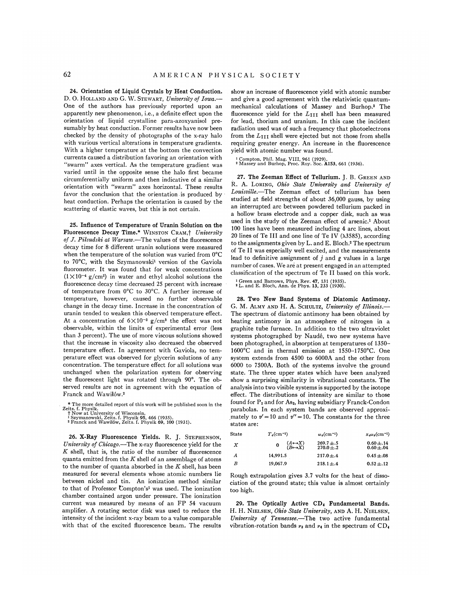24. Orientation of Liquid Crystals by Heat Conduction. D. O. HOLLAND AND G. W. STEWART, University of Iowa. One of the authors has previously reported upon an apparently new phenomenon, i,e., a definite effect upon the orientation of liquid crystalline para-azoxyanisol presumably by heat conduction. Former results have now been checked by the density of photographs of the x-ray halo with various vertical alterations in temperature gradients. With a higher temperature at the bottom the convection currents caused a distribution favoring an orientation with "swarm" axes vertical. As the temperature gradient was varied until in the opposite sense the halo first became circumferentially uniform and then indicative of a similar orientation with "swarm" axes horizontal. These results favor the conclusion that the orientation is produced by heat conduction. Perhaps the orientation is caused by the scattering of elastic waves, but this is not certain.

25. Infiuence of Temperature of Uranin Solution on the Fluorescence Decay Time.\* WINSTON CRAM.† University of J. Piłsudski at Warsaw.—The values of the fluorescence decay time for 8 different uranin solutions were measured when the temperature of the solution was varied from  $0^{\circ}$ C to 70'C, with the Szymanowski' version of the Gaviola fluorometer. It was found that for weak concentrations  $(1 \times 10^{-4} \text{ g/cm}^3)$  in water and ethyl alcohol solutions the fluorescence decay time decreased 25 percent with increase of temperature from  $0^{\circ}$ C to 30 $^{\circ}$ C. A further increase of temperature, however, caused no further observable change in the decay time. Increase in the concentration of uranin tended to weaken this observed temperature effect. At a concentration of  $6 \times 10^{-3}$  g/cm<sup>3</sup> the effect was not observable, within the limits of experimental error (less than 3 percent). The use of more viscous solutions showed that the increase in viscosity also decreased the observed temperature effect. In agreement with Gaviola, no temperature effect was observed for glycerin solutions of any concentration. The temperature effect for all solutions was unchanged when the polarization system for observing the fluorescent light was rotated through 90'. The observed results are not in agreement with the equation of Franck and Wawiłów.<sup>2</sup>

\* The more detailed report of this work will be published soon in the Zeits. f. Physik.<br>
† Now at University of Wisconsin.<br>
5 Szymanowski, Zeits. f. Physik 95, 466 (1935).<br>
<sup>1</sup> Franck and Wawiłów, Zeits. f. Physik 69, 100

20. X-Ray Fluorescence Yields. R. J. STEPHENSON, University of Chicago.—The x-ray fluorescence yield for the  $K$  shell, that is, the ratio of the number of fluorescence quanta emitted from the  $K$  shell of an assemblage of atoms to the number of quanta absorbed in the  $K$  shell, has been measured for several elements whose atomic numbers lie between nickel and tin. An ionization method similar to that of Professor Compton's<sup>1</sup> was used. The ionization chamber contained argon under pressure. The ionization current was measured by means of an FP 54 vacuum amplifier. A rotating sector disk was used to reduce the intensity of the incident x-ray beam to a value comparable with that of the excited fluorescence beam. The results

show an increase of fluorescence yield with atomic number and give a good agreement with the relativistic quantummechanical calculations of Massey and Burhop.<sup>2</sup> The fluorescence yield for the  $L_{III}$  shell has been measured for lead, thorium and uranium. In this case the incident radiation used was of such a frequency that photoelectrons from the  $L_{\text{III}}$  shell were ejected but not those from shells requiring greater energy. An increase in the fluorescence yield with atomic number was found.

<sup>1</sup> Compton, Phil. Mag. VIII, 961 (1929).<br><sup>2</sup> Massey and Burhop, Proc. Roy. Soc. **A153**, 661 (1936).

27. The Zeeman Effect of Tellurium. J. B. GREEN AND R. A. LORING, Ohio State University and University of Louisville.—The Zeeman effect of tellurium has been studied at field strengths of about 36,000 gauss, by using an interrupted arc between powdered tellurium packed in a hollow brass electrode and a copper disk, such as was used in the study of the Zeeman effect of arsenic.<sup>1</sup> About 100 lines have been measured including 4 arc lines, about 20 lines of Te III and one line of Te IV (X3585), according to the assignments given by  $L$ . and  $E$ . Bloch.<sup>2</sup> The spectrum of Te II was especially well excited, and the measurements lead to definitive assignment of  $i$  and  $\ell$  values in a large number of cases. We are at present engaged in an attempted classification of the spectrum of Te II based on this work.

<sup>1</sup> Green and Barrows, Phys. Rev. **47**, 131 (1935).<br><sup>2</sup> L. and E. Bloch, Ann. de Phys. 13, 233 (1930).

28. Two New Band Systems of Diatomic Antimony. G. M. ALMY AND H. A. SCHULTZ, University of Illinois.— The spectrum of diatomic antimony has been obtained by heating antimony in an atmosphere of nitrogen in a graphite tube furnace. In addition to the two ultraviolet systems photographed by Naude, two new systems have been photographed, in absorption at temperatures of 1350- 1600'C and in thermal emission at 1550—1750'C. One system extends from 4500 to 6000A and the other from 6000 to 7500A. Both of the systems involve the ground state. The three upper states which have been analyzed show a surprising similarity in vibrational constants. The analysis into two visible systems is supported by the isotope effect. The distributions of intensity are similar to those found for  $P_2$  and for As<sub>2</sub>, having subsidiary Franck-Condon parabolas. In each system bands are observed approximately to  $v' = 10$  and  $v'' = 10$ . The constants for the three states are:

| $T_e$ (cm <sup>-1</sup> )                            | $\omega_e$ (cm <sup>-1</sup> ) | $x_e\omega_e$ (cm <sup>-1</sup> ) |
|------------------------------------------------------|--------------------------------|-----------------------------------|
| 0 $(A \leftrightarrow X)$<br>$(B \leftrightarrow X)$ | $269.7 + .5$<br>$270.0 + 0.2$  | $0.60 + 14$<br>$0.60 \pm .04$     |
| 14.991.5                                             | $217.0 \pm .4$                 | $0.45 + 0.08$                     |
| 19,067.9                                             | $218.1 \pm .4$                 | $0.52 \pm .12$                    |
|                                                      |                                |                                   |

Rough extrapolation gives 3.7 volts for the heat of dissociation of the ground state; this value is almost certainly too high.

29. The Optically Active CD4 Fundamental Bands. H. H. NIELSEN, Ohio State University, AND A. H. NIELSEN, University of Tennessee. —The two active fundamental vibration-rotation bands  $\nu_3$  and  $\nu_4$  in the spectrum of CD<sub>4</sub>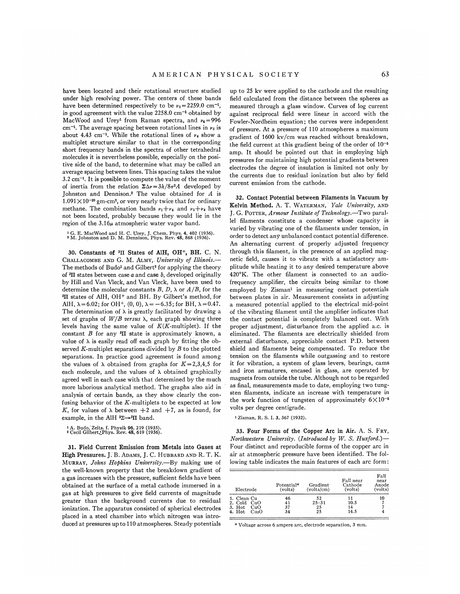have been located and their rotational structure studied under high resolving power. The centers of these bands have been determined respectively to be  $\nu_3 = 2259.0 \text{ cm}^{-1}$ . in good agreement with the value  $2258.0 \text{ cm}^{-1}$  obtained by MacWood and Urey<sup>1</sup> from Raman spectra, and  $\nu_4 = 996$ cm<sup>-1</sup>. The average spacing between rotational lines in  $\nu_3$  is about 4.43 cm<sup>-1</sup>. While the rotational lines of  $\nu_4$  show a multiplet structure similar to that in the corresponding short frequency bands in the spectra of other tetrahedral molecules it is nevertheless possible, especially on the positive side of the band, to determine what may be called an average spacing between lines. This spacing takes the value  $3.2 \text{ cm}^{-1}$ . It is possible to compute the value of the moment of inertia from the relation  $\Sigma \Delta \nu = 3h/8\pi^2 A$  developed by Johnston and Dennison.<sup>2</sup> The value obtained for  $A$  is  $1.091 \times 10^{-39}$  gm-cm<sup>2</sup>, or very nearly twice that for ordinary methane. The combination bands  $\nu_1+\nu_4$  and  $\nu_3+\nu_4$  have not been located, probably because they would lie in the region of the  $3.16\mu$  atmospheric water vapor band.

<sup>1</sup> G. E. MacWood and H. C. Urey, J. Chem. Phys. 4, 402 (1936).<br><sup>2</sup> M. Johnston and D. M. Dennison, Phys. Rev. 48, 868 (1936).

30. Constants of <sup>3</sup>II States of AlH, OH<sup>+</sup>, BH. C. N. CHALLACOMBE AND G. M. ALMY, University of Illinois.-The methods of Budo<sup>1</sup> and Gilbert<sup>2</sup> for applying the theory of  $\partial$ II states between case  $a$  and case  $b$ , developed originally by Hill and Van Vleck, and Van Vleck, have been used to determine the molecular constants B, D,  $\lambda$  or  $A/B$ , for the 'II states of A1H, OH+ and BH. By Gilbert's method, for AlH,  $\lambda = 6.02$ ; for OH<sup>+</sup>, (0, 0),  $\lambda = -6.35$ ; for BH,  $\lambda = 0.47$ . The determination of  $\lambda$  is greatly facilitated by drawing a set of graphs of  $W/B$  versus  $\lambda$ , each graph showing three levels having the same value of  $K(K-$ multiplet). If the constant  $B$  for any  $\mathrm{M}$  state is approximately known, a value of  $\lambda$  is easily read off each graph by fitting the observed  $K$ -multiplet separations divided by  $B$  to the plotted separations. In practice good agreement is found among the values of  $\lambda$  obtained from graphs for  $K=2,3,4,5$  for each molecule, and the values of  $\lambda$  obtained graphically agreed well in each case with that determined by the much more laborious analytical method. The graphs also aid in analysis of certain bands, as they show clearly the confusing behavior of the  $K$ -multiplets to be expected at low K, for values of  $\lambda$  between  $+2$  and  $+7$ , as is found, for example, in the AlH  $3\Sigma \rightarrow 3\text{II}$  band.

<sup>1</sup> A. Budo, Zeits. f. Physik **96**, 219 (1935).<br><sup>2</sup> Cecil Gilbert, Phys. Rev. 48, 619 (1936).

31. Field Current Emission from Metals into Gases at High Pressures. J.B.ADAMs, J.C. HUBBARD AND R. T. K. MURRAY, Johns Hopkins University. —By making use of the well-known property that the breakdown gradient of a gas increases with the pressure, sufficient fields have been obtained at the surface of a metal cathode immersed in a gas at high pressures to give field currents of magnitude greater than the background currents due to residual ionization. The apparatus consisted of spherical electrodes placed in a steel chamber into which nitrogen was introduced at pressures up to 110 atmospheres. Steady potentials

up to 25 kv were applied to the cathode and the resulting field calculated from the distance between the spheres as measured through a glass window. Curves of log current against reciprocal field were linear in accord with the Fowler-Nordheim equation; the curves were independent of pressure. At a pressure of 110 atmospheres a maximum gradient of 1600 kv/cm was reached without breakdown, the field current at this gradient being of the order of  $10^{-5}$ amp. It should be pointed out that in employing high pressures for maintaining high potential gradients between electrodes the degree of insulation is limited not only by the currents due to residual ionization but also by field current emission from the cathode.

32. Contact Potential between Filaments in Vacuum by Kelvin Method. A. T. WATERMAN, Yale University, AND J. G. PoTTER, Armour Institute of Technology. —Two parallel filaments constitute a condenser whose capacity is varied by vibrating one of the filaments under tension, in order to detect any' unbalanced contact potential difference. An alternating current of properly adjusted frequency through this filament, in the presence of an applied magnetic field, causes it to vibrate with a satisfactory amplitude while heating it to any desired temperature above 420'K. The other filament is connected to an audiofrequency amplifier, the circuits being similar to those employed by  $Zisman<sup>1</sup>$  in measuring contact potentials between plates in air. Measurement consists in adjusting a measured potential applied to the electrical mid-point of the vibrating filament until the amplifier indicates that the contact potential is completely balanced out. With proper adjustment, disturbance from the applied a.c. is eliminated. The filaments are electrically shielded from external disturbance, appreciable contact P.D. between shield and filaments being compensated. To reduce the tension on the filaments while outgassing and to restore it for vibration, a system of glass levers, bearings, cams and iron armatures, encased in glass, are operated by magnets from outside the tube. Although not to be regarded as final, measurements made to date, employing two tungsten filaments, indicate an increase with temperature in the work function of tungsten of approximately  $6\times10^{-5}$ volts per degree centigrade.

<sup>~</sup> Zisman, R. S. I. 3, 367 (1932).

33. Four Forms of the Copper Arc in Air. A. S. FRY, Northwestern University. (Introduced by W. S. Huxford.)-Four distinct and reproducible forms of the copper arc in air at atmospheric pressure have been identified. The following table indicates the main features of each arc form:

| Electrode                                                        | Potential*<br>(volts) | Gradient<br>(volts/cm)      | Fall near<br>Cathode<br>(volts) | Fall<br>near<br>Anode<br>(volts) |
|------------------------------------------------------------------|-----------------------|-----------------------------|---------------------------------|----------------------------------|
| 1. Clean Cu<br>2. Cold<br>CuO<br>3. Hot<br>CuO<br>4. Hot<br>Cu2O | 46<br>41<br>37<br>34  | 52<br>$25 - 31$<br>25<br>25 | 10.5<br>14<br>14.5              | 10                               |

~ Voltage across 6 ampere arc, electrode separation, 3 mm,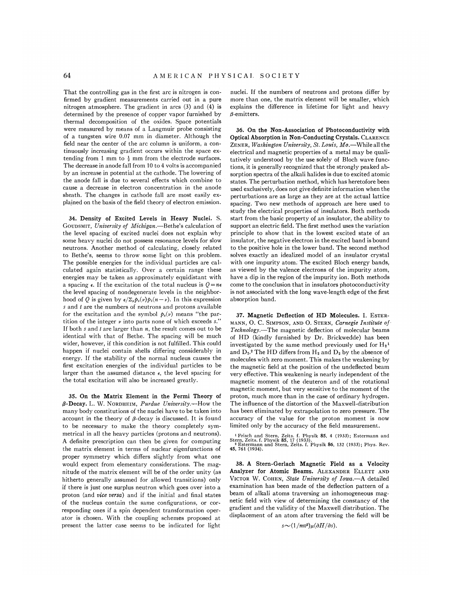That the controlling gas in the first arc is nitrogen is confirmed by gradient measurements carried out in a pure nitrogen atmosphere. The gradient in arcs (3) and (4) is determined by the presence of copper vapor furnished by thermal decomposition of the oxides. Space potentials were measured by means of a Langmuir probe consisting of a tungsten wire 0.07 mm in diameter. Although the field near the center of the arc column is uniform, a continuously increasing gradient occurs within the space extending from 1 mm to  $\frac{1}{2}$  mm from the electrode surfaces. The decrease in anode fall from 10 to 4 volts is accompanied by an increase in potential at the cathode. The lowering of the anode fall is due to several effects which combine to cause a decrease in electron concentration in the anode sheath. The changes in cathode fall are most easily explained on the basis of the field theory of electron emission.

34. Density of Excited Levels in Heavy Nuclei. S. GOUDSMIT, University of Michigan. - Bethe's calculation of the level spacing of excited nuclei does not explain why some heavy nuclei do not possess resonance levels for slow neutrons. Another method of calculating, closely related to Bethe's, seems to throw some light on this problem. The possible energies for the individual particles are calculated again statistically. Over a certain range these energies may be taken as approximately equidistant with a spacing  $\epsilon$ . If the excitation of the total nucleus is  $Q = n\epsilon$ the level spacing of nondegenerate levels in the neighborhood of Q is given by  $\epsilon/\Sigma_{\nu} p_s(\nu) p_t(n-\nu)$ . In this expression  $s$  and  $t$  are the numbers of neutrons and protons available for the excitation and the symbol  $p_s(v)$  means "the partition of the integer  $\nu$  into parts none of which exceeds s." If both s and t are larger than  $n$ , the result comes out to be identical with that of Bethe. The spacing will be much wider, however, if this condition is not fulfilled. This could happen if nuclei contain shells differing considerably in energy. If the stability of the normal nucleus causes the first excitation energies of the individual particles to be larger than the assumed distance  $\epsilon$ , the level spacing for the total excitation will also be increased greatly.

35. On the Matrix Element in the Fermi Theory of p-Decay. L. W. NoRDHEIM, Purdue University. —How the many body constitutions of the nuclei have to be taken into account in the theory of  $\beta$ -decay is discussed. It is found to be necessary to make the theory completely symmetrical in all the heavy particles (protons and neutrons). A definite prescription can then be given for computing the matrix element in terms of nuclear eigenfunctions of proper symmetry which differs slightly from what one would expect from elementary considerations. The magnitude of the matrix element will be of the order unity (as hitherto generally assumed for allowed transitions) only if there is just one surplus neutron which goes over into a proton (and vice versa) and if the initial and final states of the nucleus contain the same configurations, or corresponding ones if a spin dependent transformation operator is chosen. With the coupling schemes proposed at present the latter case seems to be indicated for light

nuclei. If the numbers of neutrons and protons differ by more than one, the matrix element will be smaller, which explains the difference in lifetime for light and heavy P-emitters.

30. On the Non-Association of Photoconductivity with Optical Absorption in Non-Conducting Crystals. CI.ARENCE ZENER, Washington University, St. Louis, Mo.-While all the electrical and magnetic properties of a metal may be qualitatively understood by the use solely of Bloch wave functions, it is generally recognized that the strongly peaked absorption spectra of the alkali halides is due to excited atomic states. The perturbation method, which has heretofore been used exclusively, does not give definite information when the perturbations are as large as they are at the actual lattice spacing. Two new methods of approach are here used to study the electrical properties of insulators. Both methods start from the basic property of an insulator, the ability to support an electric field. The first method uses the variation principle to show that in the lowest excited state of an insulator, the negative electron in the excited band is bound to the positive hole in the lower band. The second method solves exactly an idealized model of an insulator crystal with one impurity atom. The excited Bloch energy bands, as viewed by the valence electrons of the impurity atom, have a dip in the region of the impurity ion. Both methods come to the conclusion that in insulators photoconductivity is not associated with the long wave-length edge of the first absorption band.

37. Magnetic Deflection of HD Molecules. I. ESTER-MANN, O. C. SIMPSON, AND O. STERN, Carnegie Institute of Technology. —The magnetic deflection of molecular beams of HD (kindly furnished by Dr. Brickwedde) has been investigated by the same method previously used for  $H_2$ <sup>1</sup> and  $D_2$ <sup>2</sup>. The HD differs from  $H_2$  and  $D_2$  by the absence of molecules with zero moment. This makes the weakening by the magnetic field at the position of the undeflected beam very effective. This weakening is nearly independent of the magnetic moment of the deuteron and of the rotational magnetic moment, but very sensitive to the moment of the proton, much more than in the case of ordinary hydrogen. The influence of the distortion of the Maxwell-distribution has been eliminated by extrapolation to zero pressure. The accuracy of the value for the proton moment is now limited only by the accuracy of the field measurement. .

<sup>1</sup> Frisch and Stern, Zeits. f. Physik 85, 4 (1933); Estermann and<br>Stern, Zeits. f. Physik 85, 17 (1933).<br><u>"</u> Estermann and Stern, Zeits. f. Physik 86, 132 (1933); Phys. Rev. 45, 761 (1934).

38. A Stern-Gerlach Magnetic Field as a Velocity Analyzer for Atomic Beams. ALEXANDER ELLETT AND VICTOR W. COHEN, State University of Iowa.-A detailed examination has been made of the deflection pattern of a beam of alkali atoms traversing an inhomogeneous magnetic field with view of determining the constancy of the gradient and the validity of the Maxwell distribution. The displacement of an atom after traversing the field will be

 $s \sim (1/mv^2)\mu(\partial H/\partial s)$ .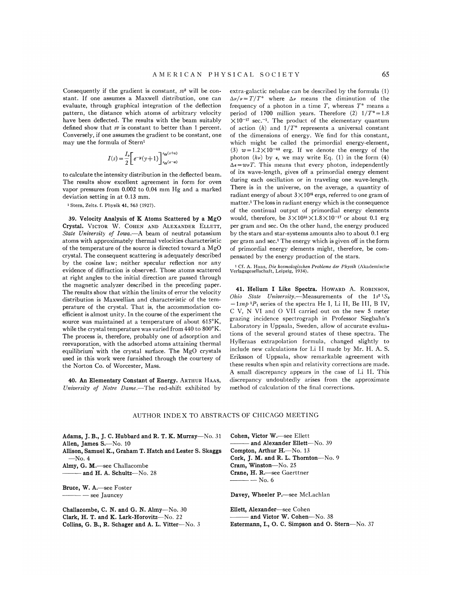Consequently if the gradient is constant,  $sv^2$  will be constant. If one assumes a Maxwell distribution, one can evaluate, through graphical integration of the deflection pattern, the distance which atoms of arbitrary velocity have been deflected. The results with the beam suitably defined show that sv is constant to better than 1 percent. Conversely, if one assumes the gradient to be constant, one may use the formula of Stern'

$$
I(s) = \frac{I_o}{2} \left[ e^{-y} (y+1) \right]_{s_{\alpha}(s-a)}^{s_{\alpha}(s+a)}
$$

to calculate the intensity distribution in the deflected beam. The results show excellent agreement in form for oven vapor pressures from 0.002 to 0.04 mm Hg and a marked deviation setting in at 0.13 mm.

<sup>1</sup> Stern, Zeits. f. Physik 41, 563 (1927).

39. Velocity Analysis of K Atoms Scattered by a MgO Crystal. VICTOR W. COHEN AND ALEXANDER ELLETT, State University of Iowa.—<sup>A</sup> beam of neutral potassium atoms with approximately thermal velocities characteristic of the temperature of the source is directed toward a MgO crystal. The consequent scattering is adequately described by the cosine law; neither specular reflection nor any evidence of diffraction is observed. Those atoms scattered at right angles to the initial direction are passed through the magnetic analyzer described in the preceding paper. The results show that within the limits of error the velocity distribution is Maxwellian and characteristic of the temperature of the crystal. That is, the accommodation coefficient is almost unity. In the course of the experiment the source was maintained at a temperature of about 615°K, while the crystal temperature was varied from 440 to 800'K. The process is, therefore, probably one of adsorption and reevaporation, with the adsorbed atoms attaining thermal equilibrium with the crystal surface. The MgO crystals used in this work were furnished through the courtesy of the Norton Co. of Worcester, Mass,

40. An Elementary Constant of Energy. ARTHUR HAAs, University of Notre Dame.—The red-shift exhibited by

extra-galactic nebulae can be described by the formula (1)  $\Delta \nu / \nu = T/T^*$  where  $\Delta \nu$  means the diminution of the frequency of a photon in a time T, whereas  $T^*$  means a period of 1700 million years. Therefore (2)  $1/T^* = 1.8$  $\times$ 10<sup>-17</sup> sec.<sup>-1</sup>. The product of the elementary quantum of action (h) and  $1/T^*$  represents a universal constant of the dimensions of energy. 'We find for this constant, which might be called the primordial energy-element, (3)  $w=1.2\times10^{-43}$  erg. If we denote the energy of the photon  $(h\nu)$  by  $\epsilon$ , we may write Eq. (1) in the form (4)  $\Delta \epsilon = w v T$ . This means that every photon, independently of its wave-length, gives off a primordial energy element during each oscillation or in traveling one. wave-length. There is in the universe, on the average, a quantity of radiant energy of about  $3\times10^{15}$  ergs, referred to one gram of matter.<sup>1</sup> The loss in radiant energy which is the consequence of the continual output of primordial energy elements would, therefore, be  $3\times10^{15}\times1.8\times10^{-17}$  or about 0.1 erg per gram and sec. On the other hand, the energy produced by the stars and star-systems amounts also to about 0.1 erg per gram and sec.' The energy which is given off in the form of primordial energy elements might, therefore, be compensated by the energy production of the stars.

<sup>1</sup> Cf. A. Haas, *Die kosmologischen Probleme der Physik* (Akademischer Verlagsgesellschaft, Leipzig, 1934).

41. Helium I Like Spectra. HowARD A. ROBINSON, Ohio State University. Measurements of the  $1s^2$  'S<sub>0</sub>  $-1$ snp <sup>1</sup>P<sub>1</sub> series of the spectra He I, Li II, Be III, B IV, <sup>C</sup> V, <sup>N</sup> VI and 0 VII carried out on the new <sup>5</sup> meter grazing incidence spectrograph in Professor Siegbahn's Laboratory in Uppsala, Sweden, allow of accurate evaluations of the several ground states of these spectra. The Hylleraas extrapolation formula, changed slightly to include new calculations for Li II made by Mr. H. A. S. Eriksson of Uppsala, show remarkable agreement with these results when spin and relativity corrections are made. A small discrepancy appears in the case of Li II. This discrepancy undoubtedly arises from the approximat method of calculation of the final corrections.

## AUTHOR INDEX TO ABSTRACTS OF CHICAGO MEETING

| Adams, J. B., J. C. Hubbard and R. T. K. Murray—No. 31                                                                                                                                                                                                                                                                                                                                                                          | Cohen, Victor W. See Ellett                        |
|---------------------------------------------------------------------------------------------------------------------------------------------------------------------------------------------------------------------------------------------------------------------------------------------------------------------------------------------------------------------------------------------------------------------------------|----------------------------------------------------|
| Allen, James S.—No. 10                                                                                                                                                                                                                                                                                                                                                                                                          | and Alexander Ellett—No. 39                        |
| Allison, Samuel K., Graham T. Hatch and Lester S. Skaggs                                                                                                                                                                                                                                                                                                                                                                        | Compton, Arthur H.—No. 13                          |
| $-No.4$                                                                                                                                                                                                                                                                                                                                                                                                                         | Cork, J. M. and R. L. Thornton-No. 9               |
| Almy, G. M.—see Challacombe                                                                                                                                                                                                                                                                                                                                                                                                     | Cram, Winston-No. 25                               |
| $\longrightarrow$ and H. A. Schultz $-No.$ 28                                                                                                                                                                                                                                                                                                                                                                                   | Crane, H. R.-see Gaerttner                         |
|                                                                                                                                                                                                                                                                                                                                                                                                                                 | $\frac{1}{1000} - \frac{1}{1000} - \frac{1}{1000}$ |
| <b>Bruce, W. A.—see Foster</b>                                                                                                                                                                                                                                                                                                                                                                                                  |                                                    |
| $\frac{1}{\sqrt{1-\frac{1}{2}}}\frac{1}{\sqrt{1-\frac{1}{2}}}\frac{1}{\sqrt{1-\frac{1}{2}}}\frac{1}{\sqrt{1-\frac{1}{2}}}\frac{1}{\sqrt{1-\frac{1}{2}}}\frac{1}{\sqrt{1-\frac{1}{2}}}\frac{1}{\sqrt{1-\frac{1}{2}}}\frac{1}{\sqrt{1-\frac{1}{2}}}\frac{1}{\sqrt{1-\frac{1}{2}}}\frac{1}{\sqrt{1-\frac{1}{2}}}\frac{1}{\sqrt{1-\frac{1}{2}}}\frac{1}{\sqrt{1-\frac{1}{2}}}\frac{1}{\sqrt{1-\frac{1}{2}}}\frac{1}{\sqrt{1-\frac{$ | Davey, Wheeler P.-see McLachlan                    |
| Challacombe, C. N. and G. N. Almy-No. 30                                                                                                                                                                                                                                                                                                                                                                                        | Ellett, Alexander—see Cohen                        |
| Clark, H. T. and K. Lark-Horovitz—No. 22                                                                                                                                                                                                                                                                                                                                                                                        | and Victor W. Cohen—No. 38                         |
| Collins, G. B., R. Schager and A. L. Vitter— $No. 3$                                                                                                                                                                                                                                                                                                                                                                            | Estermann, I., O. C. Simpson and O. Stern-No. 37   |
|                                                                                                                                                                                                                                                                                                                                                                                                                                 |                                                    |